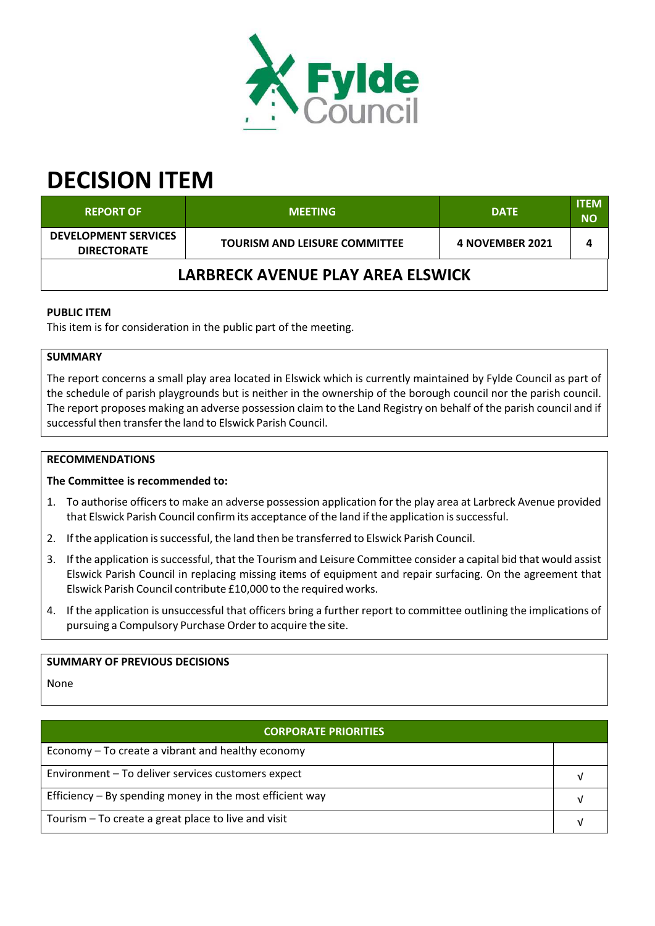

# **DECISION ITEM**

| <b>REPORT OF</b>                                  | <b>MEETING</b>                       | <b>DATE</b>     | <b>ITEM</b><br><b>NO</b> |  |  |  |
|---------------------------------------------------|--------------------------------------|-----------------|--------------------------|--|--|--|
| <b>DEVELOPMENT SERVICES</b><br><b>DIRECTORATE</b> | <b>TOURISM AND LEISURE COMMITTEE</b> | 4 NOVEMBER 2021 |                          |  |  |  |
| LARBRECK AVENUE PLAY AREA ELSWICK                 |                                      |                 |                          |  |  |  |

## **PUBLIC ITEM**

This item is for consideration in the public part of the meeting.

# **SUMMARY**

The report concerns a small play area located in Elswick which is currently maintained by Fylde Council as part of the schedule of parish playgrounds but is neither in the ownership of the borough council nor the parish council. The report proposes making an adverse possession claim to the Land Registry on behalf of the parish council and if successful then transferthe land to Elswick Parish Council.

## **RECOMMENDATIONS**

#### **The Committee is recommended to:**

- 1. To authorise officersto make an adverse possession application for the play area at Larbreck Avenue provided that Elswick Parish Council confirm its acceptance of the land if the application issuccessful.
- 2. If the application issuccessful, the land then be transferred to Elswick Parish Council.
- 3. If the application is successful, that the Tourism and Leisure Committee consider a capital bid that would assist Elswick Parish Council in replacing missing items of equipment and repair surfacing. On the agreement that Elswick Parish Council contribute £10,000 to the required works.
- 4. If the application is unsuccessful that officers bring a further report to committee outlining the implications of pursuing a Compulsory Purchase Order to acquire the site.

## **SUMMARY OF PREVIOUS DECISIONS**

None

| <b>CORPORATE PRIORITIES</b>                                |  |  |
|------------------------------------------------------------|--|--|
| Economy – To create a vibrant and healthy economy          |  |  |
| Environment - To deliver services customers expect         |  |  |
| Efficiency $-$ By spending money in the most efficient way |  |  |
| Tourism – To create a great place to live and visit        |  |  |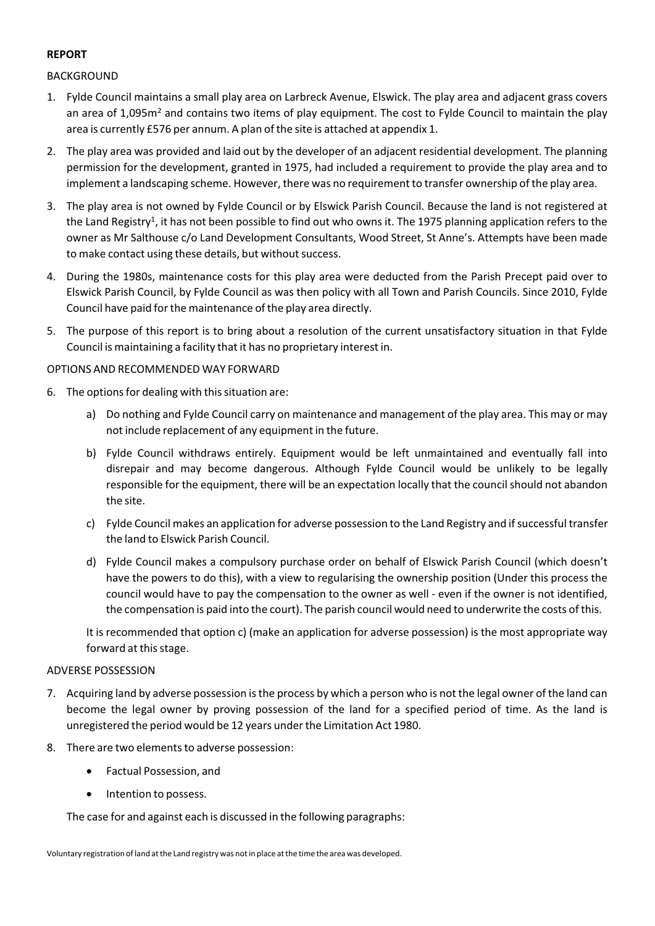## **REPORT**

## BACKGROUND

- 1. Fylde Council maintains a small play area on Larbreck Avenue, Elswick. The play area and adjacent grass covers an area of 1,095m<sup>2</sup> and contains two items of play equipment. The cost to Fylde Council to maintain the play area is currently £576 per annum. A plan of the site is attached at appendix 1.
- 2. The play area was provided and laid out by the developer of an adjacent residential development. The planning permission for the development, granted in 1975, had included a requirement to provide the play area and to implement a landscaping scheme. However, there was no requirement to transfer ownership of the play area.
- 3. The play area is not owned by Fylde Council or by Elswick Parish Council. Because the land is not registered at the Land Registry<sup>1</sup>, it has not been possible to find out who owns it. The 1975 planning application refers to the owner as Mr Salthouse c/o Land Development Consultants, Wood Street, St Anne's. Attempts have been made to make contact using these details, but without success.
- 4. During the 1980s, maintenance costs for this play area were deducted from the Parish Precept paid over to Elswick Parish Council, by Fylde Council as was then policy with all Town and Parish Councils. Since 2010, Fylde Council have paid forthe maintenance of the play area directly.
- 5. The purpose of this report is to bring about a resolution of the current unsatisfactory situation in that Fylde Council is maintaining a facility that it has no proprietary interest in.

### OPTIONS AND RECOMMENDED WAY FORWARD

- 6. The options for dealing with this situation are:
	- a) Do nothing and Fylde Council carry on maintenance and management of the play area. This may or may not include replacement of any equipment in the future.
	- b) Fylde Council withdraws entirely. Equipment would be left unmaintained and eventually fall into disrepair and may become dangerous. Although Fylde Council would be unlikely to be legally responsible for the equipment, there will be an expectation locally that the council should not abandon the site.
	- c) Fylde Council makes an application for adverse possession to the Land Registry and ifsuccessful transfer the land to Elswick Parish Council.
	- d) Fylde Council makes a compulsory purchase order on behalf of Elswick Parish Council (which doesn't have the powers to do this), with a view to regularising the ownership position (Under this process the council would have to pay the compensation to the owner as well ‐ even if the owner is not identified, the compensation is paid into the court). The parish council would need to underwrite the costs of this.

It is recommended that option c) (make an application for adverse possession) is the most appropriate way forward at this stage.

#### ADVERSE POSSESSION

- 7. Acquiring land by adverse possession isthe process by which a person who is not the legal owner of the land can become the legal owner by proving possession of the land for a specified period of time. As the land is unregistered the period would be 12 years underthe Limitation Act 1980.
- 8. There are two elements to adverse possession:
	- Factual Possession, and
	- Intention to possess.

The case for and against each is discussed in the following paragraphs: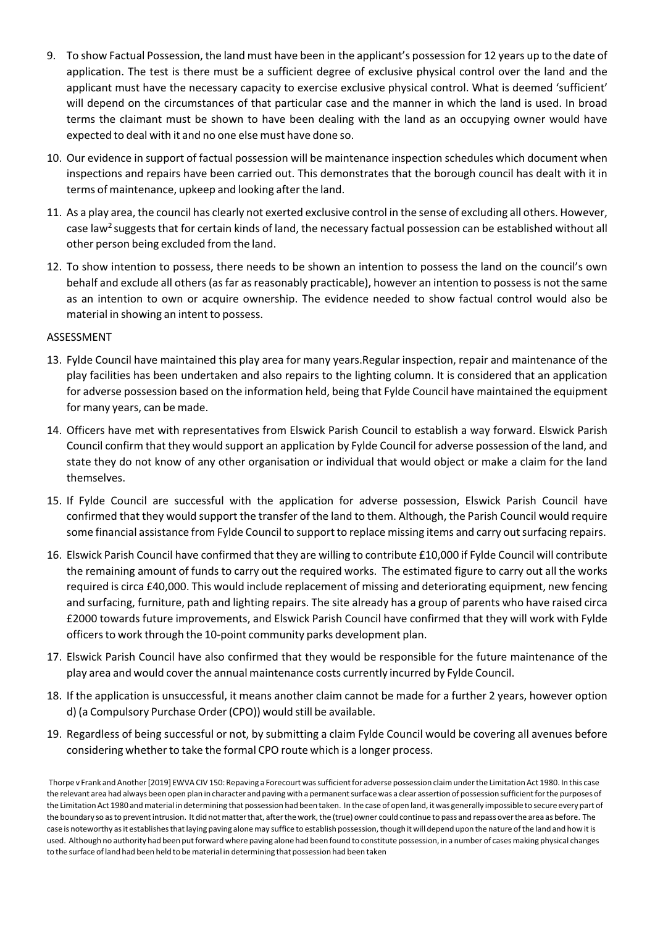- 9. To show Factual Possession, the land must have been in the applicant's possession for 12 years up to the date of application. The test is there must be a sufficient degree of exclusive physical control over the land and the applicant must have the necessary capacity to exercise exclusive physical control. What is deemed 'sufficient' will depend on the circumstances of that particular case and the manner in which the land is used. In broad terms the claimant must be shown to have been dealing with the land as an occupying owner would have expected to deal with it and no one else must have done so.
- 10. Our evidence in support of factual possession will be maintenance inspection schedules which document when inspections and repairs have been carried out. This demonstrates that the borough council has dealt with it in terms of maintenance, upkeep and looking after the land.
- 11. As a play area, the council has clearly not exerted exclusive control in the sense of excluding all others. However, case law<sup>2</sup> suggests that for certain kinds of land, the necessary factual possession can be established without all other person being excluded from the land.
- 12. To show intention to possess, there needs to be shown an intention to possess the land on the council's own behalf and exclude all others(asfar asreasonably practicable), however an intention to possessis not the same as an intention to own or acquire ownership. The evidence needed to show factual control would also be material in showing an intent to possess.

#### ASSESSMENT

- 13. Fylde Council have maintained this play area for many years.Regular inspection, repair and maintenance of the play facilities has been undertaken and also repairs to the lighting column. It is considered that an application for adverse possession based on the information held, being that Fylde Council have maintained the equipment for many years, can be made.
- 14. Officers have met with representatives from Elswick Parish Council to establish a way forward. Elswick Parish Council confirm that they would support an application by Fylde Council for adverse possession of the land, and state they do not know of any other organisation or individual that would object or make a claim for the land themselves.
- 15. If Fylde Council are successful with the application for adverse possession, Elswick Parish Council have confirmed that they would support the transfer of the land to them. Although, the Parish Council would require some financial assistance from Fylde Council to support to replace missing items and carry outsurfacing repairs.
- 16. Elswick Parish Council have confirmed that they are willing to contribute £10,000 if Fylde Council will contribute the remaining amount of funds to carry out the required works. The estimated figure to carry out all the works required is circa £40,000. This would include replacement of missing and deteriorating equipment, new fencing and surfacing, furniture, path and lighting repairs. The site already has a group of parents who have raised circa £2000 towards future improvements, and Elswick Parish Council have confirmed that they will work with Fylde officers to work through the 10-point community parks development plan.
- 17. Elswick Parish Council have also confirmed that they would be responsible for the future maintenance of the play area and would coverthe annual maintenance costs currently incurred by Fylde Council.
- 18. If the application is unsuccessful, it means another claim cannot be made for a further 2 years, however option d) (a Compulsory Purchase Order(CPO)) would still be available.
- 19. Regardless of being successful or not, by submitting a claim Fylde Council would be covering all avenues before considering whether to take the formal CPO route which is a longer process.

Thorpe v Frank and Another [2019] EWVA CIV 150: Repaving a Forecourt was sufficient for adverse possession claim under the Limitation Act 1980. In this case the relevant area had always been open plan in character and paving with a permanentsurface was a clear assertion of possession sufficientforthe purposes of the Limitation Act 1980 andmaterial in determining that possession had been taken. In the case of open land, it was generally impossible to secure every part of the boundary so asto preventintrusion. It did notmatterthat, afterthe work,the (true) owner could continue to pass and repass overthe area as before. The case is noteworthy asit establishesthatlaying paving alonemay suffice to establish possession,though it will depend upon the nature ofthe land and how itis used. Although no authority had been putforward where paving alone had been found to constitute possession, in a number of casesmaking physical changes to the surface of land had been held to be material in determining that possession had been taken